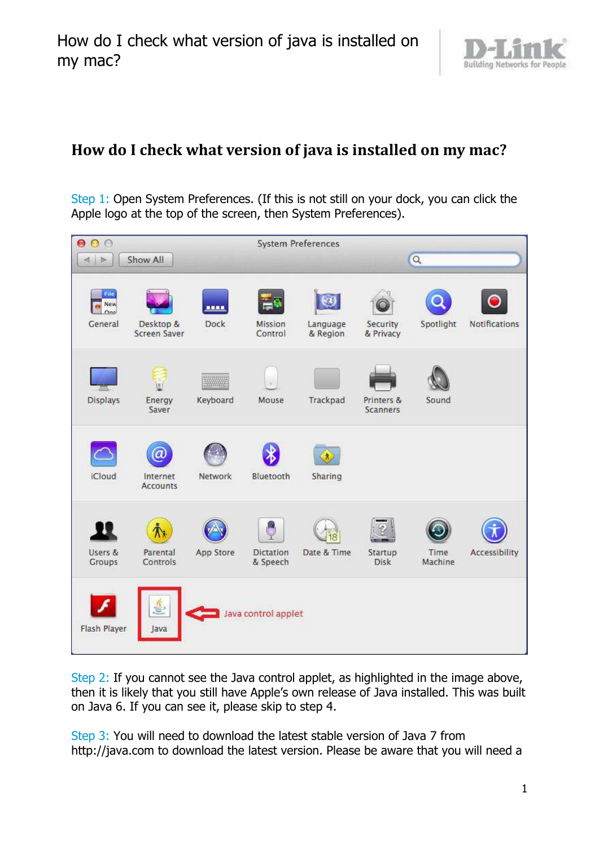

Step 1: Open System Preferences. (If this is not still on your dock, you can click the Apple logo at the top of the screen, then System Preferences).



Step 2: If you cannot see the Java control applet, as highlighted in the image above, then it is likely that you still have Apple's own release of Java installed. This was built on Java 6. If you can see it, please skip to step 4.

Step 3: You will need to download the latest stable version of Java 7 from http://java.com to download the latest version. Please be aware that you will need a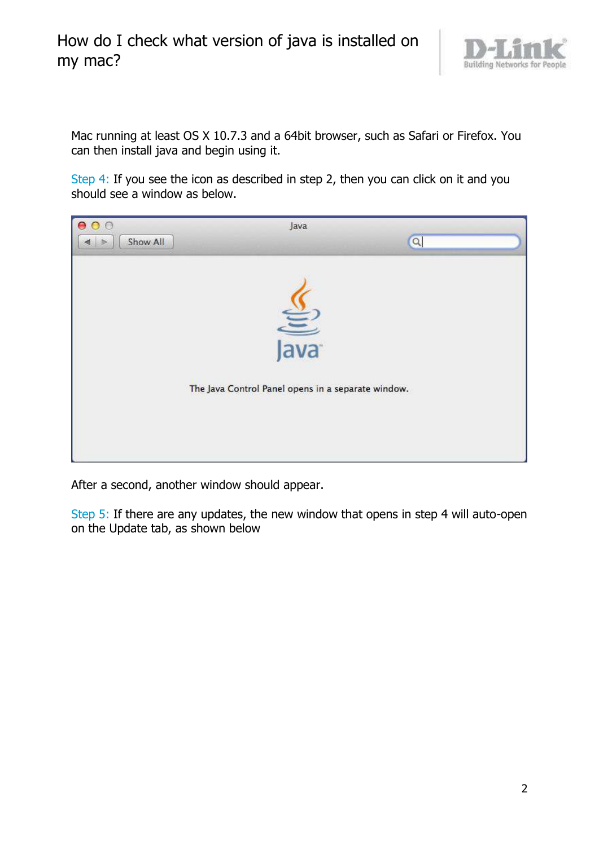

Mac running at least OS X 10.7.3 and a 64bit browser, such as Safari or Firefox. You can then install java and begin using it.

Step 4: If you see the icon as described in step 2, then you can click on it and you should see a window as below.



After a second, another window should appear.

Step 5: If there are any updates, the new window that opens in step 4 will auto-open on the Update tab, as shown below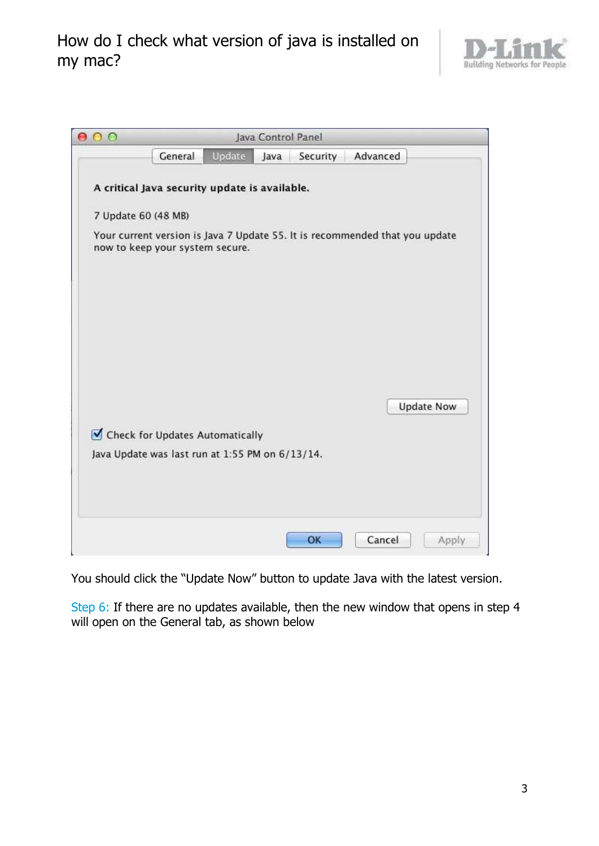

| $\circ$ | Java Control Panel                                                                                             |
|---------|----------------------------------------------------------------------------------------------------------------|
|         | Update<br>General<br>Java<br>Security Advanced                                                                 |
|         | A critical Java security update is available.                                                                  |
|         | 7 Update 60 (48 MB)                                                                                            |
|         | Your current version is Java 7 Update 55. It is recommended that you update<br>now to keep your system secure. |
|         |                                                                                                                |
|         |                                                                                                                |
|         | <b>Update Now</b>                                                                                              |
|         | Check for Updates Automatically                                                                                |
|         | Java Update was last run at 1:55 PM on 6/13/14.                                                                |
|         |                                                                                                                |
|         |                                                                                                                |
|         | Cancel<br>OK<br>Apply                                                                                          |

You should click the "Update Now" button to update Java with the latest version.

Step 6: If there are no updates available, then the new window that opens in step 4 will open on the General tab, as shown below